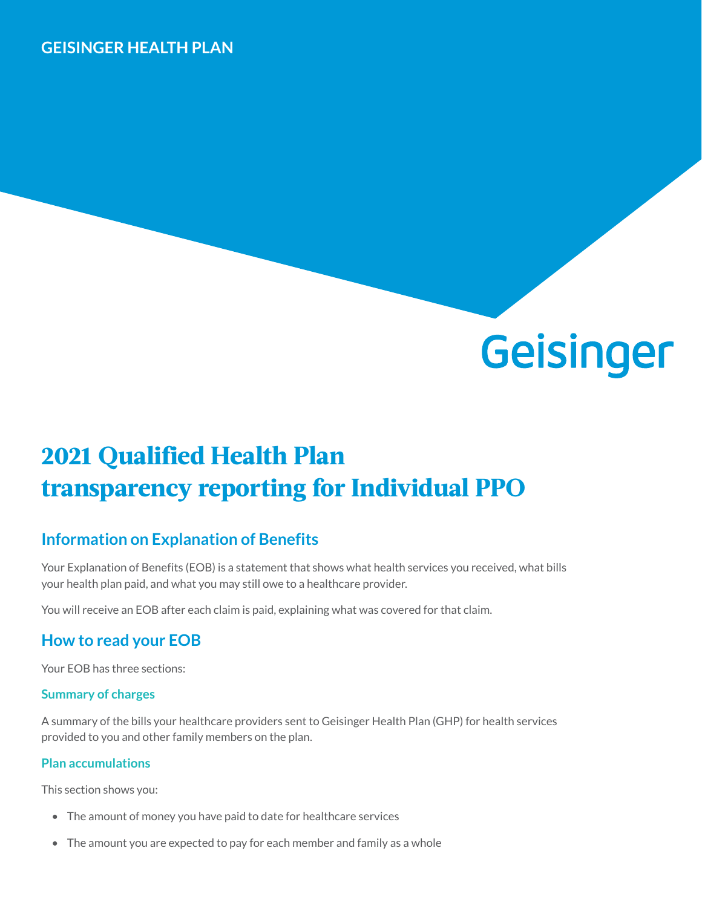#### **GEISINGER HEALTH PLAN**



# **2021 Qualified Health Plan transparency reporting for Individual PPO**

## **Information on Explanation of Benefits**

Your Explanation of Benefits (EOB) is a statement that shows what health services you received, what bills your health plan paid, and what you may still owe to a healthcare provider.

You will receive an EOB after each claim is paid, explaining what was covered for that claim.

## **How to read your EOB**

Your EOB has three sections:

#### **Summary of charges**

A summary of the bills your healthcare providers sent to Geisinger Health Plan (GHP) for health services provided to you and other family members on the plan.

#### **Plan accumulations**

This section shows you:

- The amount of money you have paid to date for healthcare services
- The amount you are expected to pay for each member and family as a whole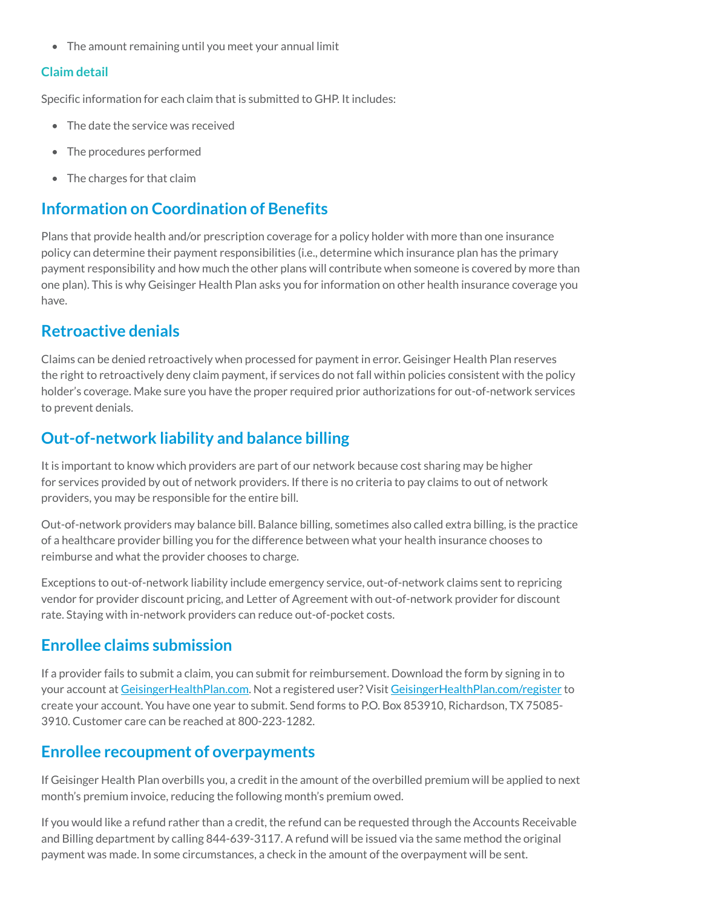• The amount remaining until you meet your annual limit

#### **Claim detail**

Specific information for each claim that is submitted to GHP. It includes:

- The date the service was received
- The procedures performed
- The charges for that claim

#### **Information on Coordination of Benefits**

Plans that provide health and/or prescription coverage for a policy holder with more than one insurance policy can determine their payment responsibilities (i.e., determine which insurance plan has the primary payment responsibility and how much the other plans will contribute when someone is covered by more than one plan). This is why Geisinger Health Plan asks you for information on other health insurance coverage you have.

#### **Retroactive denials**

Claims can be denied retroactively when processed for payment in error. Geisinger Health Plan reserves the right to retroactively deny claim payment, if services do not fall within policies consistent with the policy holder's coverage. Make sure you have the proper required prior authorizations for out-of-network services to prevent denials.

#### **Out-of-network liability and balance billing**

It is important to know which providers are part of our network because cost sharing may be higher for services provided by out of network providers. If there is no criteria to pay claims to out of network providers, you may be responsible for the entire bill.

Out-of-network providers may balance bill. Balance billing, sometimes also called extra billing, is the practice of a healthcare provider billing you for the difference between what your health insurance chooses to reimburse and what the provider chooses to charge.

Exceptions to out-of-network liability include emergency service, out-of-network claims sent to repricing vendor for provider discount pricing, and Letter of Agreement with out-of-network provider for discount rate. Staying with in-network providers can reduce out-of-pocket costs.

#### **Enrollee claims submission**

If a provider fails to submit a claim, you can submit for reimbursement. Download the form by signing in to your account at [GeisingerHealthPlan.com](http://GeisingerHealthPlan.com). Not a registered user? Visit [GeisingerHealthPlan.com/register](http://GeisingerHealthPlan.com/register) to create your account. You have one year to submit. Send forms to P.O. Box 853910, Richardson, TX 75085- 3910. Customer care can be reached at 800-223-1282.

#### **Enrollee recoupment of overpayments**

If Geisinger Health Plan overbills you, a credit in the amount of the overbilled premium will be applied to next month's premium invoice, reducing the following month's premium owed.

If you would like a refund rather than a credit, the refund can be requested through the Accounts Receivable and Billing department by calling 844-639-3117. A refund will be issued via the same method the original payment was made. In some circumstances, a check in the amount of the overpayment will be sent.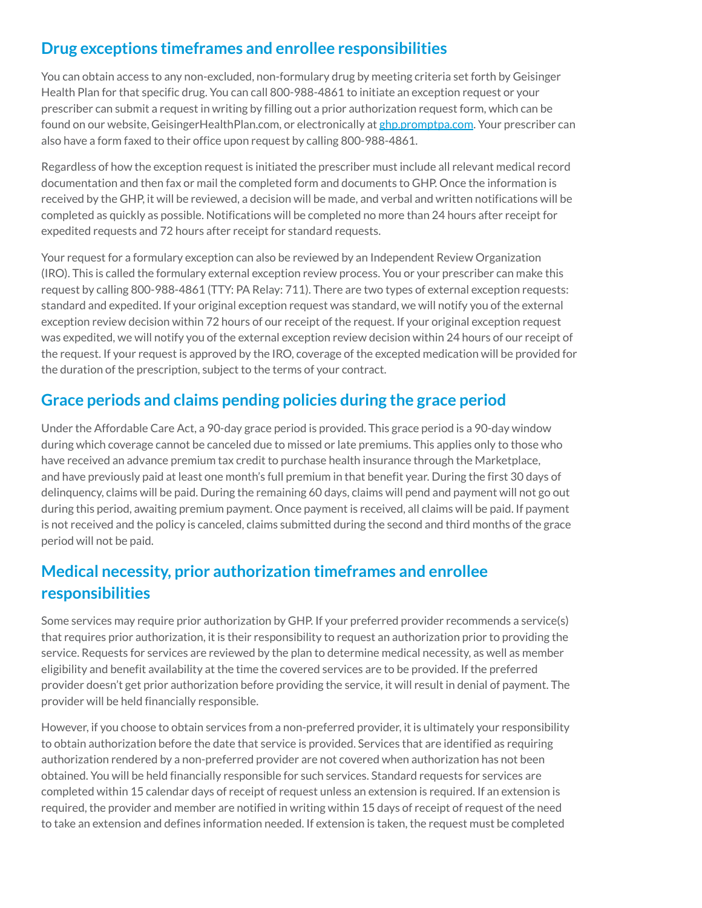## **Drug exceptions timeframes and enrollee responsibilities**

You can obtain access to any non-excluded, non-formulary drug by meeting criteria set forth by Geisinger Health Plan for that specific drug. You can call 800-988-4861 to initiate an exception request or your prescriber can submit a request in writing by filling out a prior authorization request form, which can be found on our website, GeisingerHealthPlan.com, or electronically at [ghp.promptpa.com](https://ghp.promptpa.com). Your prescriber can also have a form faxed to their office upon request by calling 800-988-4861.

Regardless of how the exception request is initiated the prescriber must include all relevant medical record documentation and then fax or mail the completed form and documents to GHP. Once the information is received by the GHP, it will be reviewed, a decision will be made, and verbal and written notifications will be completed as quickly as possible. Notifications will be completed no more than 24 hours after receipt for expedited requests and 72 hours after receipt for standard requests.

Your request for a formulary exception can also be reviewed by an Independent Review Organization (IRO). This is called the formulary external exception review process. You or your prescriber can make this request by calling 800-988-4861 (TTY: PA Relay: 711). There are two types of external exception requests: standard and expedited. If your original exception request was standard, we will notify you of the external exception review decision within 72 hours of our receipt of the request. If your original exception request was expedited, we will notify you of the external exception review decision within 24 hours of our receipt of the request. If your request is approved by the IRO, coverage of the excepted medication will be provided for the duration of the prescription, subject to the terms of your contract.

#### **Grace periods and claims pending policies during the grace period**

Under the Affordable Care Act, a 90-day grace period is provided. This grace period is a 90-day window during which coverage cannot be canceled due to missed or late premiums. This applies only to those who have received an advance premium tax credit to purchase health insurance through the Marketplace, and have previously paid at least one month's full premium in that benefit year. During the first 30 days of delinquency, claims will be paid. During the remaining 60 days, claims will pend and payment will not go out during this period, awaiting premium payment. Once payment is received, all claims will be paid. If payment is not received and the policy is canceled, claims submitted during the second and third months of the grace period will not be paid.

#### **Medical necessity, prior authorization timeframes and enrollee responsibilities**

Some services may require prior authorization by GHP. If your preferred provider recommends a service(s) that requires prior authorization, it is their responsibility to request an authorization prior to providing the service. Requests for services are reviewed by the plan to determine medical necessity, as well as member eligibility and benefit availability at the time the covered services are to be provided. If the preferred provider doesn't get prior authorization before providing the service, it will result in denial of payment. The provider will be held financially responsible.

However, if you choose to obtain services from a non-preferred provider, it is ultimately your responsibility to obtain authorization before the date that service is provided. Services that are identified as requiring authorization rendered by a non-preferred provider are not covered when authorization has not been obtained. You will be held financially responsible for such services. Standard requests for services are completed within 15 calendar days of receipt of request unless an extension is required. If an extension is required, the provider and member are notified in writing within 15 days of receipt of request of the need to take an extension and defines information needed. If extension is taken, the request must be completed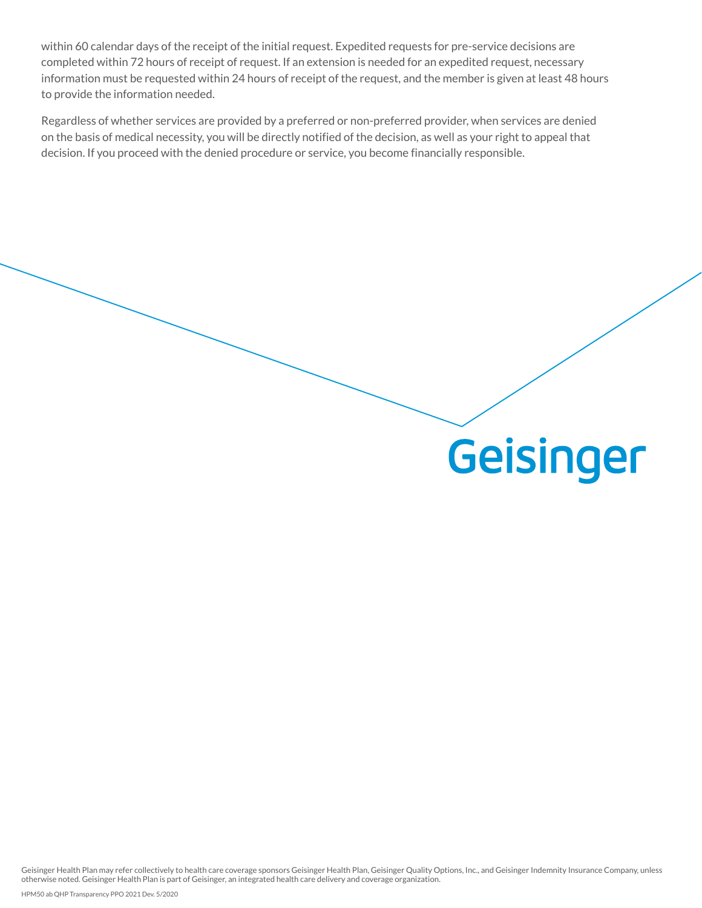within 60 calendar days of the receipt of the initial request. Expedited requests for pre-service decisions are completed within 72 hours of receipt of request. If an extension is needed for an expedited request, necessary information must be requested within 24 hours of receipt of the request, and the member is given at least 48 hours to provide the information needed.

Regardless of whether services are provided by a preferred or non-preferred provider, when services are denied on the basis of medical necessity, you will be directly notified of the decision, as well as your right to appeal that decision. If you proceed with the denied procedure or service, you become financially responsible.

# **Geisinger**

Geisinger Health Plan may refer collectively to health care coverage sponsors Geisinger Health Plan, Geisinger Quality Options, Inc., and Geisinger Indemnity Insurance Company, unless otherwise noted. Geisinger Health Plan is part of Geisinger, an integrated health care delivery and coverage organization.